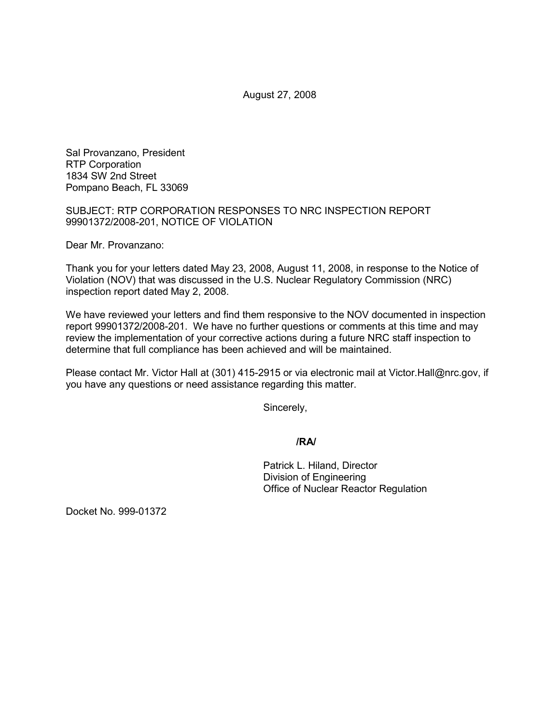August 27, 2008

Sal Provanzano, President RTP Corporation 1834 SW 2nd Street Pompano Beach, FL 33069

SUBJECT: RTP CORPORATION RESPONSES TO NRC INSPECTION REPORT 99901372/2008-201, NOTICE OF VIOLATION

Dear Mr. Provanzano:

Thank you for your letters dated May 23, 2008, August 11, 2008, in response to the Notice of Violation (NOV) that was discussed in the U.S. Nuclear Regulatory Commission (NRC) inspection report dated May 2, 2008.

We have reviewed your letters and find them responsive to the NOV documented in inspection report 99901372/2008-201. We have no further questions or comments at this time and may review the implementation of your corrective actions during a future NRC staff inspection to determine that full compliance has been achieved and will be maintained.

Please contact Mr. Victor Hall at (301) 415-2915 or via electronic mail at Victor.Hall@nrc.gov, if you have any questions or need assistance regarding this matter.

Sincerely,

## **/RA/**

Patrick L. Hiland, Director Division of Engineering Office of Nuclear Reactor Regulation

Docket No. 999-01372